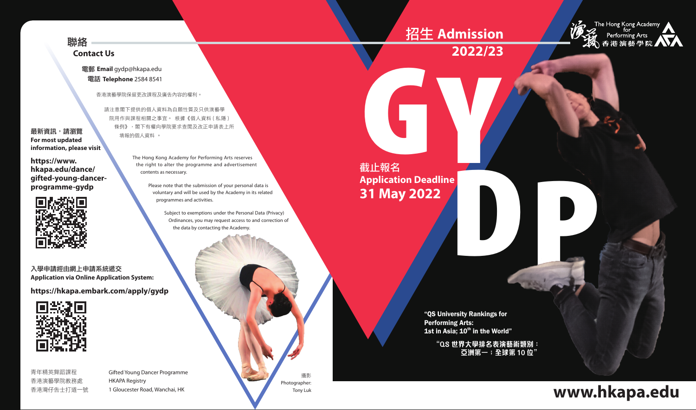## 聯絡 **Contact Us**

#### 電郵 **Email** gydp@hkapa.edu 電話 **Telephone** 2584 8541

香港演藝學院保留更改課程及廣告內容的權利。

請注意閣下提供的個人資料為自願性質及只供演藝學 院用作與課程相關之事宜。 根據《個人資料 ( 私隱 ) 條例》,閣下有權向學院要求查閱及改正申請表上所 填報的個人資料 。 **space of the space of the space of the space of the space of the space of the space of the space of the space of the space of the space of the space of the space of the space of the space of the space of the space of t** 

The Hong Kong Academy for Performing Arts reserves the right to alter the programme and advertisement contents as necessary. **hkapa.edu/dance/ gifted-young-dancer-**

> Please note that the submission of your personal data is voluntary and will be used by the Academy in its related programmes and activities.

> > Subject to exemptions under the Personal Data (Privacy) Ordinances, you may request access to and correction of the data by contacting the Academy.

入學申請經由網上申請系統遞交 **Application via Online Application System: https://hkapa.embark.com/apply/gydp**



**For most updated information, please visit** 

**https://www.**

**programme-gydp**

香港演藝學院教務處 HKAPA Registry

青年精英舞蹈課程 Gifted Young Dancer Programme 香港灣仔告士打道一號 1 Gloucester Road, Wanchai, HK

攝影 Photographer: Tony Luk

# 截止報名 **Application Deadline 31 May 2022**

"QS University Rankings for Performing Arts: 1st in Asia;  $10^{th}$  in the World"

> **"QS 世界大學排名表演藝術類別: 亞洲第一;全球第 10 位"**

POST OF BUILDING

# **www.hkapa.edu**

# 招生 **Admission**

**2022/23**

The Hong Kong Academy<br>The Ferforming Arts 35 香港演藝學院